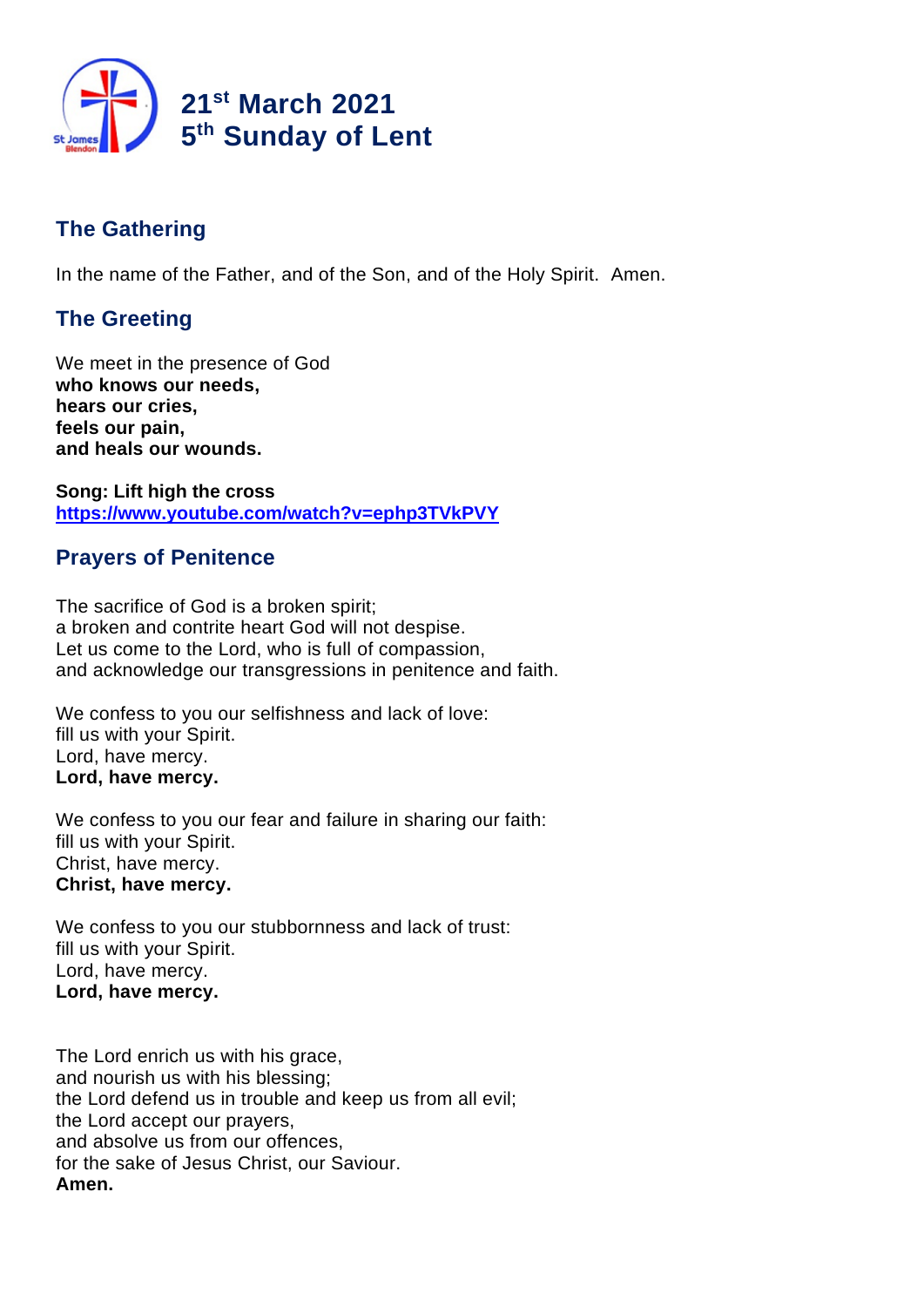

# **The Gathering**

In the name of the Father, and of the Son, and of the Holy Spirit. Amen.

# **The Greeting**

We meet in the presence of God **who knows our needs, hears our cries, feels our pain, and heals our wounds.**

**Song: Lift high the cross https://www.youtube.com/watch?v=ephp3TVkPVY**

# **Prayers of Penitence**

The sacrifice of God is a broken spirit; a broken and contrite heart God will not despise. Let us come to the Lord, who is full of compassion, and acknowledge our transgressions in penitence and faith.

We confess to you our selfishness and lack of love: fill us with your Spirit. Lord, have mercy. **Lord, have mercy.**

We confess to you our fear and failure in sharing our faith: fill us with your Spirit. Christ, have mercy. **Christ, have mercy.**

We confess to you our stubbornness and lack of trust: fill us with your Spirit. Lord, have mercy. **Lord, have mercy.**

The Lord enrich us with his grace, and nourish us with his blessing; the Lord defend us in trouble and keep us from all evil; the Lord accept our prayers, and absolve us from our offences, for the sake of Jesus Christ, our Saviour. **Amen.**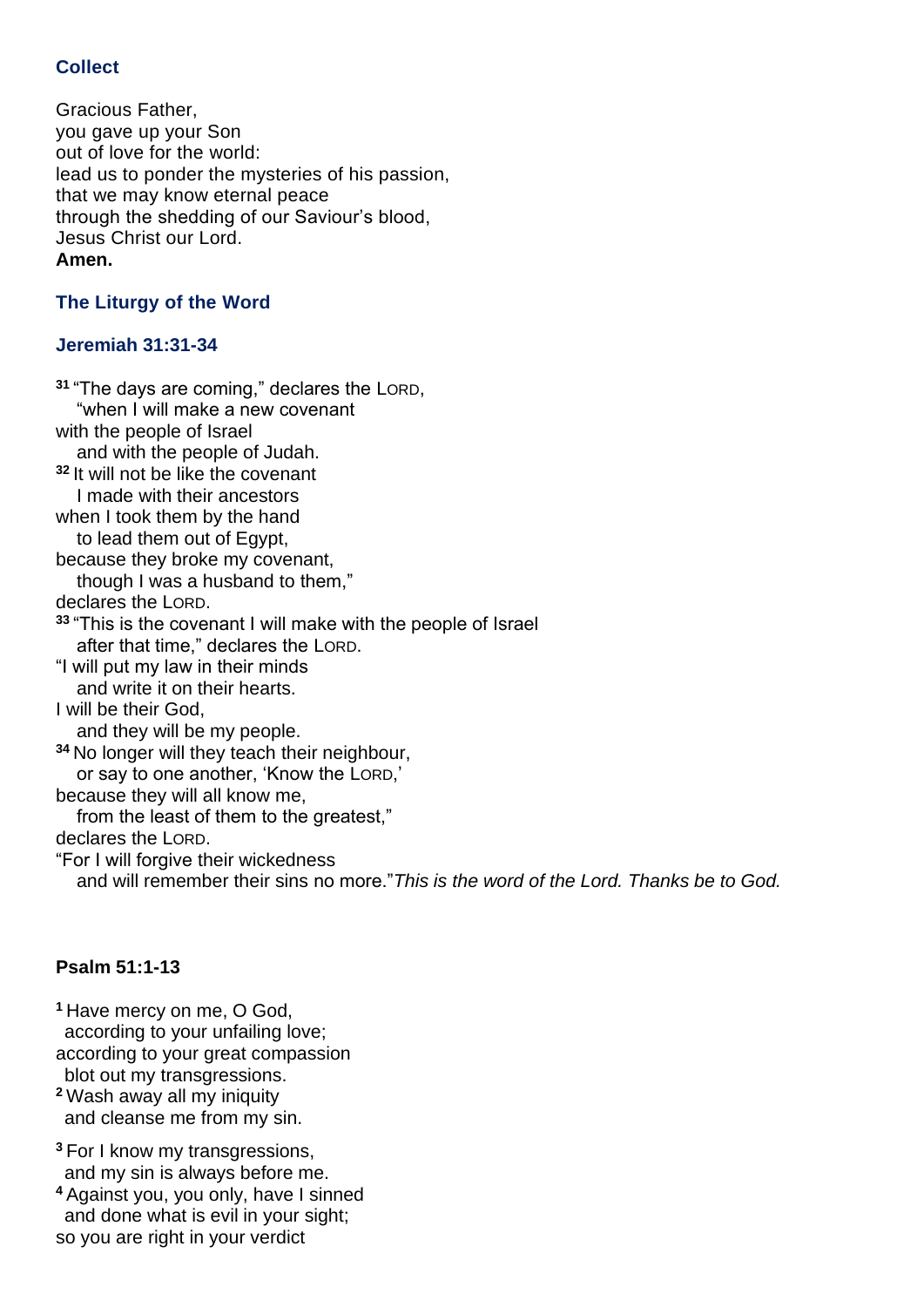# **Collect**

Gracious Father, you gave up your Son out of love for the world: lead us to ponder the mysteries of his passion, that we may know eternal peace through the shedding of our Saviour's blood, Jesus Christ our Lord. **Amen.**

# **The Liturgy of the Word**

### **Jeremiah 31:31-34**

**<sup>31</sup>** "The days are coming," declares the LORD, "when I will make a new covenant with the people of Israel and with the people of Judah. **<sup>32</sup>** It will not be like the covenant I made with their ancestors when I took them by the hand to lead them out of Egypt, because they broke my covenant, though I was a husband to them," declares the LORD. **<sup>33</sup>** "This is the covenant I will make with the people of Israel after that time," declares the LORD. "I will put my law in their minds and write it on their hearts. I will be their God, and they will be my people. **<sup>34</sup>** No longer will they teach their neighbour, or say to one another, 'Know the LORD,' because they will all know me, from the least of them to the greatest." declares the LORD. "For I will forgive their wickedness and will remember their sins no more."*This is the word of the Lord. Thanks be to God.*

### **Psalm 51:1-13**

**<sup>1</sup>** Have mercy on me, O God, according to your unfailing love; according to your great compassion blot out my transgressions.

**<sup>2</sup>** Wash away all my iniquity and cleanse me from my sin.

**<sup>3</sup>** For I know my transgressions, and my sin is always before me.

**<sup>4</sup>** Against you, you only, have I sinned and done what is evil in your sight; so you are right in your verdict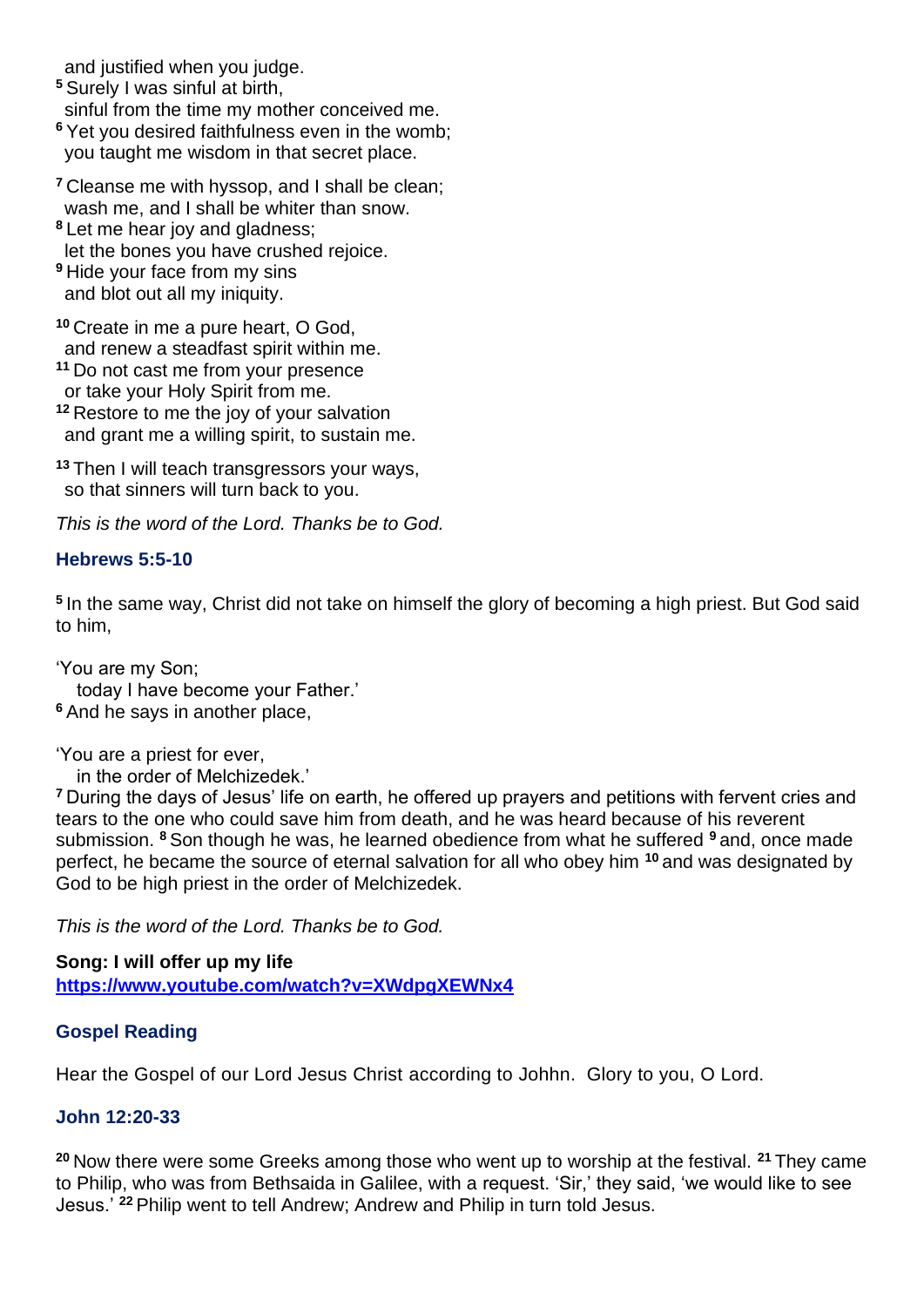and justified when you judge.

- **<sup>5</sup>** Surely I was sinful at birth, sinful from the time my mother conceived me. **<sup>6</sup>** Yet you desired faithfulness even in the womb;
- you taught me wisdom in that secret place.
- **<sup>7</sup>** Cleanse me with hyssop, and I shall be clean; wash me, and I shall be whiter than snow.
- **<sup>8</sup>** Let me hear joy and gladness; let the bones you have crushed rejoice. **<sup>9</sup>** Hide your face from my sins and blot out all my iniquity.
- **<sup>10</sup>** Create in me a pure heart, O God, and renew a steadfast spirit within me.
- **<sup>11</sup>** Do not cast me from your presence
- or take your Holy Spirit from me.
- **<sup>12</sup>** Restore to me the joy of your salvation and grant me a willing spirit, to sustain me.
- **<sup>13</sup>** Then I will teach transgressors your ways, so that sinners will turn back to you.

*This is the word of the Lord. Thanks be to God.*

#### **Hebrews 5:5-10**

**5** In the same way, Christ did not take on himself the glory of becoming a high priest. But God said to him,

'You are my Son; today I have become your Father.' **<sup>6</sup>** And he says in another place,

'You are a priest for ever,

in the order of Melchizedek.'

**<sup>7</sup>** During the days of Jesus' life on earth, he offered up prayers and petitions with fervent cries and tears to the one who could save him from death, and he was heard because of his reverent submission. **<sup>8</sup>** Son though he was, he learned obedience from what he suffered **<sup>9</sup>** and, once made perfect, he became the source of eternal salvation for all who obey him **<sup>10</sup>** and was designated by God to be high priest in the order of Melchizedek.

*This is the word of the Lord. Thanks be to God.* 

**Song: I will offer up my life https://www.youtube.com/watch?v=XWdpgXEWNx4**

### **Gospel Reading**

Hear the Gospel of our Lord Jesus Christ according to Johhn. Glory to you, O Lord.

### **John 12:20-33**

**<sup>20</sup>** Now there were some Greeks among those who went up to worship at the festival. **<sup>21</sup>** They came to Philip, who was from Bethsaida in Galilee, with a request. 'Sir,' they said, 'we would like to see Jesus.' **<sup>22</sup>** Philip went to tell Andrew; Andrew and Philip in turn told Jesus.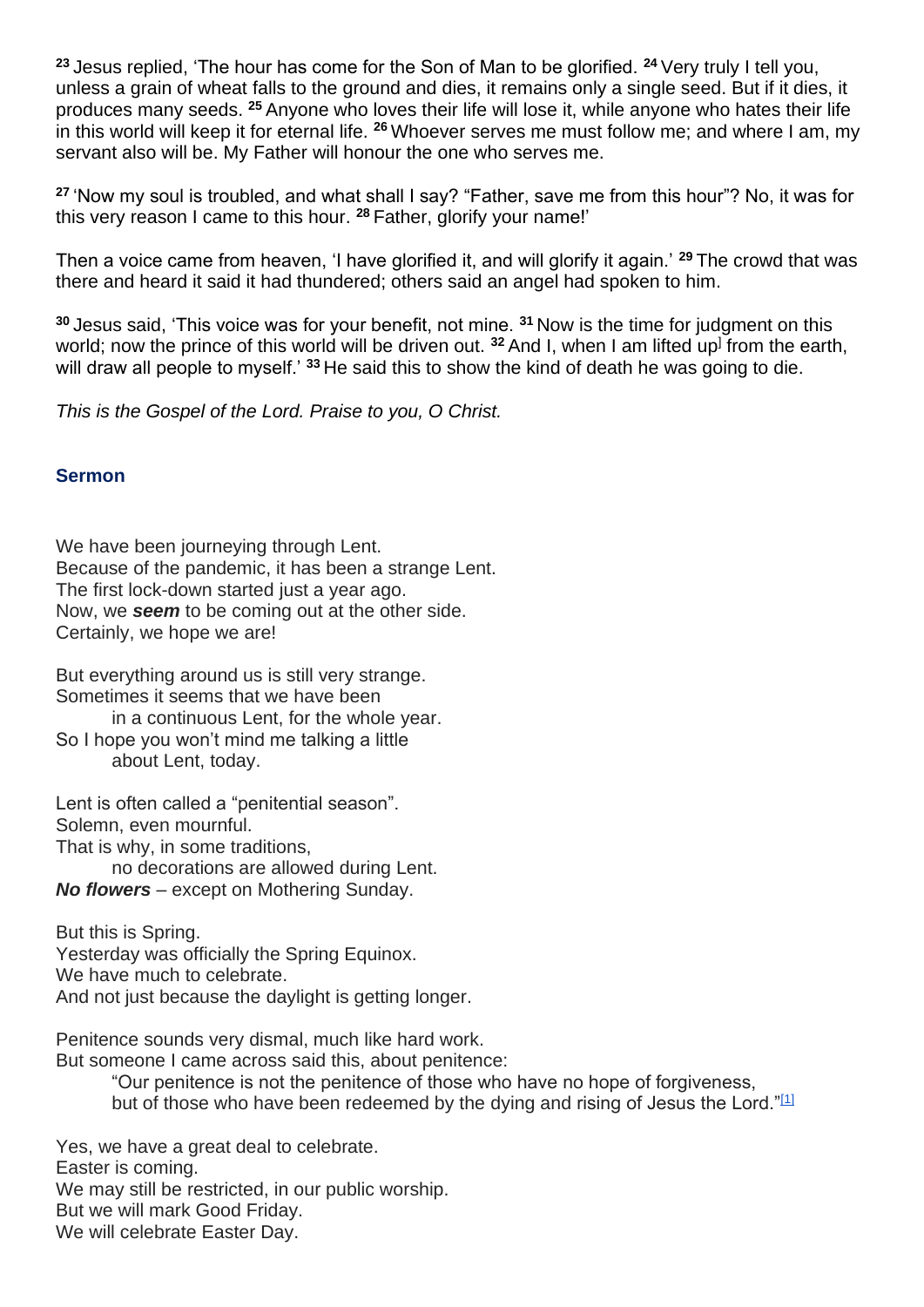**<sup>23</sup>** Jesus replied, 'The hour has come for the Son of Man to be glorified. **<sup>24</sup>** Very truly I tell you, unless a grain of wheat falls to the ground and dies, it remains only a single seed. But if it dies, it produces many seeds. **<sup>25</sup>** Anyone who loves their life will lose it, while anyone who hates their life in this world will keep it for eternal life. **<sup>26</sup>** Whoever serves me must follow me; and where I am, my servant also will be. My Father will honour the one who serves me.

**<sup>27</sup>** 'Now my soul is troubled, and what shall I say? "Father, save me from this hour"? No, it was for this very reason I came to this hour. **<sup>28</sup>** Father, glorify your name!'

Then a voice came from heaven, 'I have glorified it, and will glorify it again.' **<sup>29</sup>** The crowd that was there and heard it said it had thundered; others said an angel had spoken to him.

**<sup>30</sup>** Jesus said, 'This voice was for your benefit, not mine. **<sup>31</sup>** Now is the time for judgment on this world; now the prince of this world will be driven out. <sup>32</sup> And I, when I am lifted up<sup>1</sup> from the earth, will draw all people to myself.' **<sup>33</sup>** He said this to show the kind of death he was going to die.

*This is the Gospel of the Lord. Praise to you, O Christ.*

#### **Sermon**

We have been journeying through Lent. Because of the pandemic, it has been a strange Lent. The first lock-down started just a year ago. Now, we *seem* to be coming out at the other side. Certainly, we hope we are!

But everything around us is still very strange. Sometimes it seems that we have been

in a continuous Lent, for the whole year. So I hope you won't mind me talking a little about Lent, today.

Lent is often called a "penitential season". Solemn, even mournful.

That is why, in some traditions,

no decorations are allowed during Lent.

*No flowers* – except on Mothering Sunday.

But this is Spring. Yesterday was officially the Spring Equinox. We have much to celebrate. And not just because the daylight is getting longer.

Penitence sounds very dismal, much like hard work. But someone I came across said this, about penitence:

"Our penitence is not the penitence of those who have no hope of forgiveness,

but of those who have been redeemed by the dying and rising of Jesus the Lord."[1]

Yes, we have a great deal to celebrate. Easter is coming. We may still be restricted, in our public worship. But we will mark Good Friday. We will celebrate Easter Day.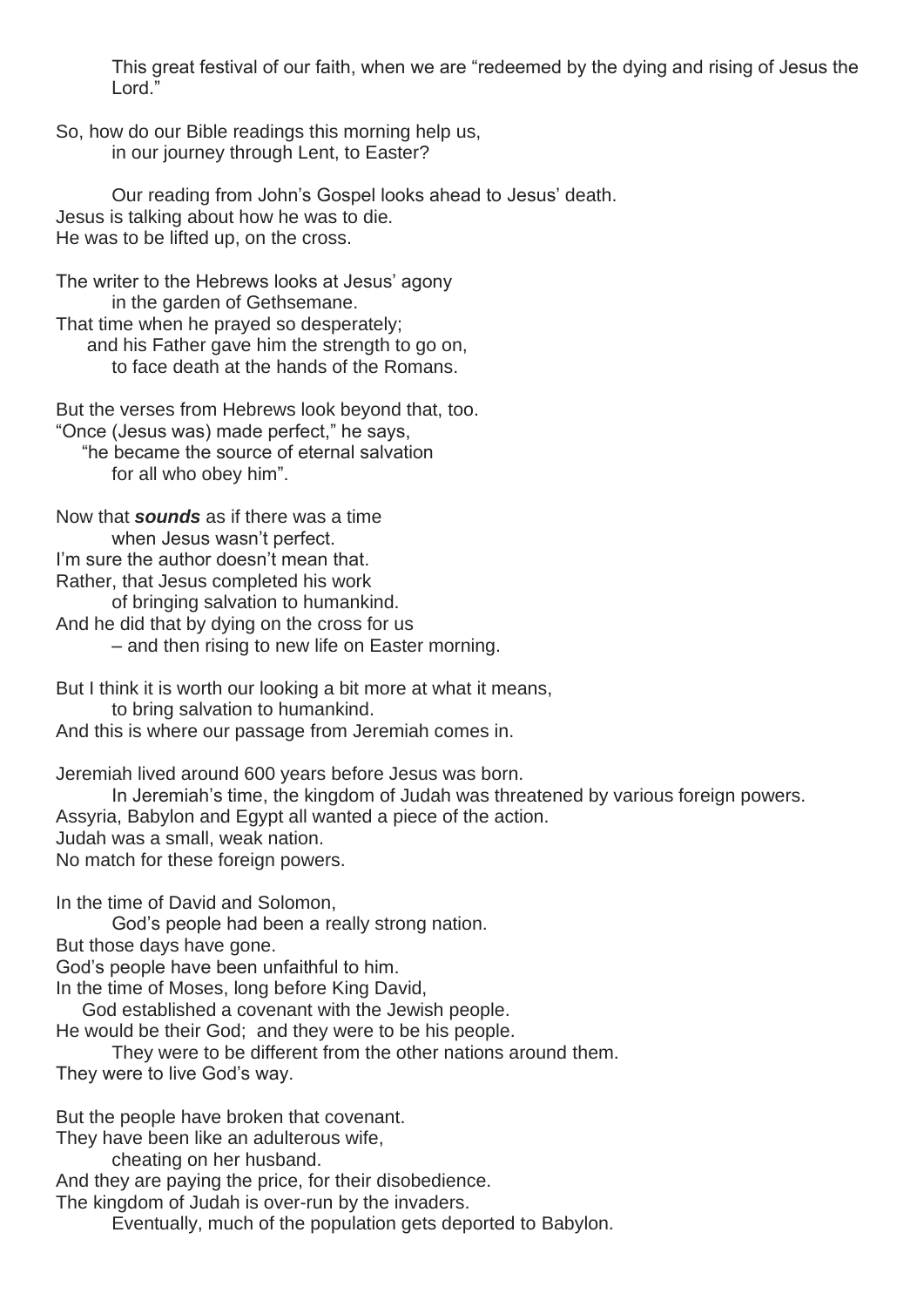This great festival of our faith, when we are "redeemed by the dying and rising of Jesus the Lord."

So, how do our Bible readings this morning help us, in our journey through Lent, to Easter?

Our reading from John's Gospel looks ahead to Jesus' death. Jesus is talking about how he was to die. He was to be lifted up, on the cross.

The writer to the Hebrews looks at Jesus' agony in the garden of Gethsemane. That time when he prayed so desperately; and his Father gave him the strength to go on,

to face death at the hands of the Romans.

But the verses from Hebrews look beyond that, too. "Once (Jesus was) made perfect," he says, "he became the source of eternal salvation for all who obey him".

Now that *sounds* as if there was a time when Jesus wasn't perfect. I'm sure the author doesn't mean that. Rather, that Jesus completed his work of bringing salvation to humankind. And he did that by dying on the cross for us – and then rising to new life on Easter morning.

But I think it is worth our looking a bit more at what it means, to bring salvation to humankind.

And this is where our passage from Jeremiah comes in.

Jeremiah lived around 600 years before Jesus was born.

In Jeremiah's time, the kingdom of Judah was threatened by various foreign powers. Assyria, Babylon and Egypt all wanted a piece of the action. Judah was a small, weak nation. No match for these foreign powers.

In the time of David and Solomon,

God's people had been a really strong nation.

But those days have gone.

God's people have been unfaithful to him.

In the time of Moses, long before King David,

God established a covenant with the Jewish people.

He would be their God; and they were to be his people.

They were to be different from the other nations around them. They were to live God's way.

But the people have broken that covenant.

They have been like an adulterous wife,

cheating on her husband.

And they are paying the price, for their disobedience.

The kingdom of Judah is over-run by the invaders.

Eventually, much of the population gets deported to Babylon.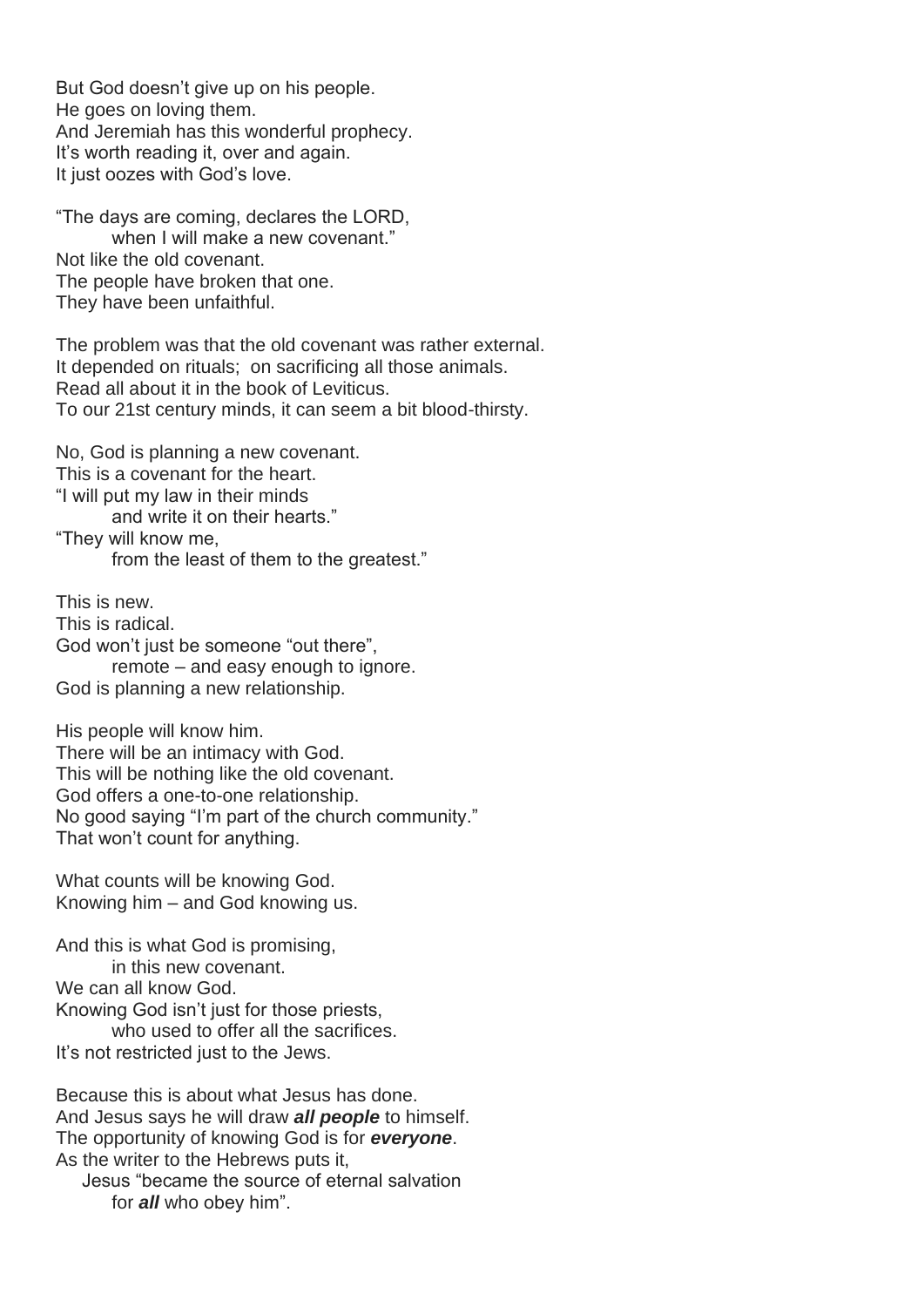But God doesn't give up on his people. He goes on loving them. And Jeremiah has this wonderful prophecy. It's worth reading it, over and again. It just oozes with God's love.

"The days are coming, declares the LORD, when I will make a new covenant." Not like the old covenant. The people have broken that one. They have been unfaithful.

The problem was that the old covenant was rather external. It depended on rituals; on sacrificing all those animals. Read all about it in the book of Leviticus. To our 21st century minds, it can seem a bit blood-thirsty.

No, God is planning a new covenant. This is a covenant for the heart. "I will put my law in their minds and write it on their hearts." "They will know me, from the least of them to the greatest."

This is new. This is radical. God won't just be someone "out there", remote – and easy enough to ignore. God is planning a new relationship.

His people will know him. There will be an intimacy with God. This will be nothing like the old covenant. God offers a one-to-one relationship. No good saying "I'm part of the church community." That won't count for anything.

What counts will be knowing God. Knowing him – and God knowing us.

And this is what God is promising, in this new covenant. We can all know God. Knowing God isn't just for those priests, who used to offer all the sacrifices. It's not restricted just to the Jews.

Because this is about what Jesus has done. And Jesus says he will draw *all people* to himself. The opportunity of knowing God is for *everyone*. As the writer to the Hebrews puts it, Jesus "became the source of eternal salvation for *all* who obey him".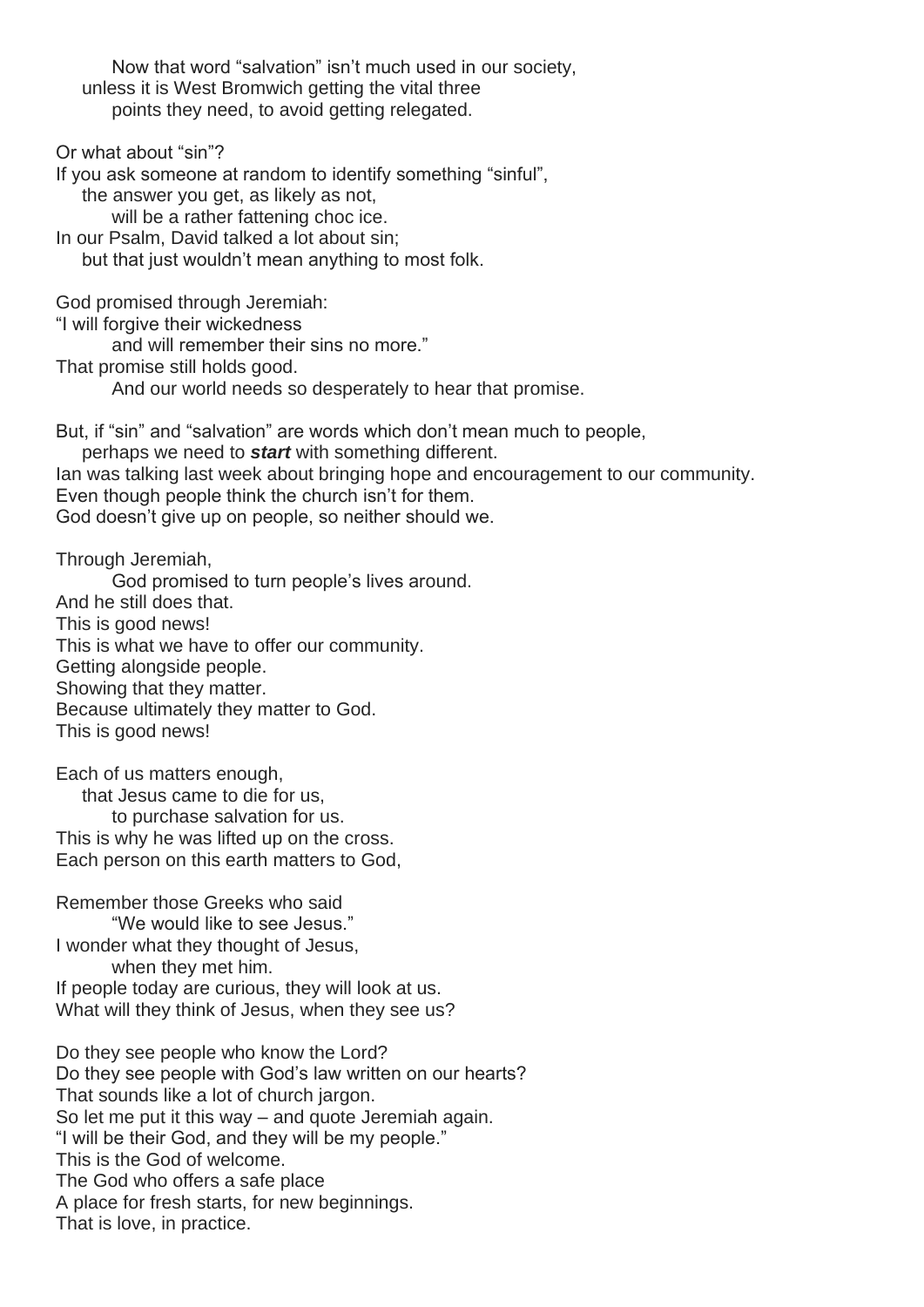Now that word "salvation" isn't much used in our society, unless it is West Bromwich getting the vital three points they need, to avoid getting relegated.

Or what about "sin"? If you ask someone at random to identify something "sinful", the answer you get, as likely as not, will be a rather fattening choc ice. In our Psalm, David talked a lot about sin; but that just wouldn't mean anything to most folk.

God promised through Jeremiah:

"I will forgive their wickedness

and will remember their sins no more."

That promise still holds good.

And our world needs so desperately to hear that promise.

But, if "sin" and "salvation" are words which don't mean much to people,

perhaps we need to *start* with something different.

Ian was talking last week about bringing hope and encouragement to our community. Even though people think the church isn't for them.

God doesn't give up on people, so neither should we.

Through Jeremiah,

God promised to turn people's lives around. And he still does that. This is good news! This is what we have to offer our community. Getting alongside people. Showing that they matter. Because ultimately they matter to God. This is good news!

Each of us matters enough, that Jesus came to die for us, to purchase salvation for us. This is why he was lifted up on the cross. Each person on this earth matters to God,

Remember those Greeks who said "We would like to see Jesus." I wonder what they thought of Jesus, when they met him. If people today are curious, they will look at us. What will they think of Jesus, when they see us?

Do they see people who know the Lord? Do they see people with God's law written on our hearts? That sounds like a lot of church jargon. So let me put it this way – and quote Jeremiah again. "I will be their God, and they will be my people." This is the God of welcome. The God who offers a safe place A place for fresh starts, for new beginnings. That is love, in practice.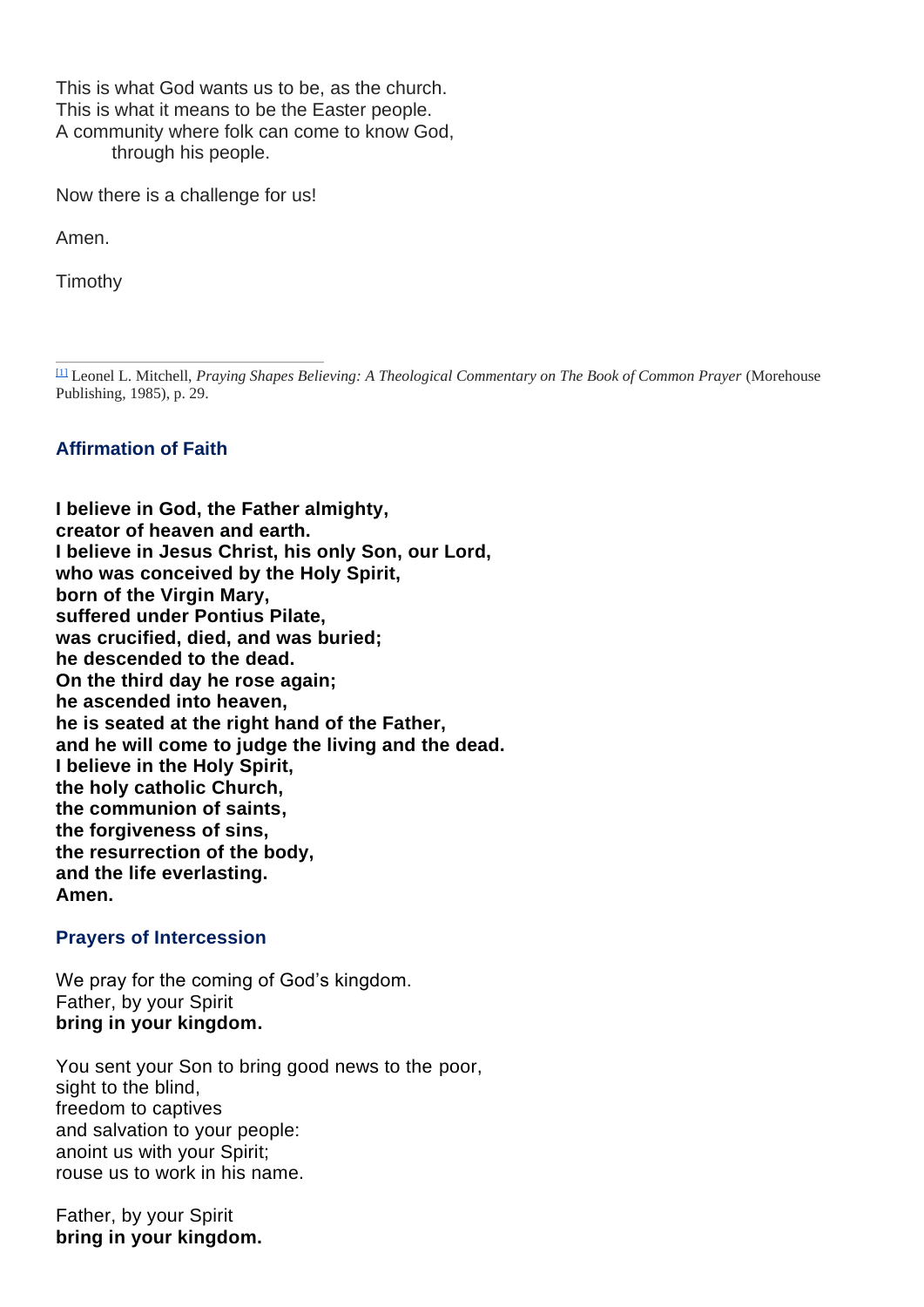This is what God wants us to be, as the church. This is what it means to be the Easter people. A community where folk can come to know God, through his people.

Now there is a challenge for us!

Amen.

Timothy

[1] Leonel L. Mitchell, *Praying Shapes Believing: A Theological Commentary on The Book of Common Prayer* (Morehouse Publishing, 1985), p. 29.

# **Affirmation of Faith**

**I believe in God, the Father almighty, creator of heaven and earth. I believe in Jesus Christ, his only Son, our Lord, who was conceived by the Holy Spirit, born of the Virgin Mary, suffered under Pontius Pilate, was crucified, died, and was buried; he descended to the dead. On the third day he rose again; he ascended into heaven, he is seated at the right hand of the Father, and he will come to judge the living and the dead. I believe in the Holy Spirit, the holy catholic Church, the communion of saints, the forgiveness of sins, the resurrection of the body, and the life everlasting. Amen.**

### **Prayers of Intercession**

We pray for the coming of God's kingdom. Father, by your Spirit **bring in your kingdom.**

You sent your Son to bring good news to the poor, sight to the blind, freedom to captives and salvation to your people: anoint us with your Spirit; rouse us to work in his name.

Father, by your Spirit **bring in your kingdom.**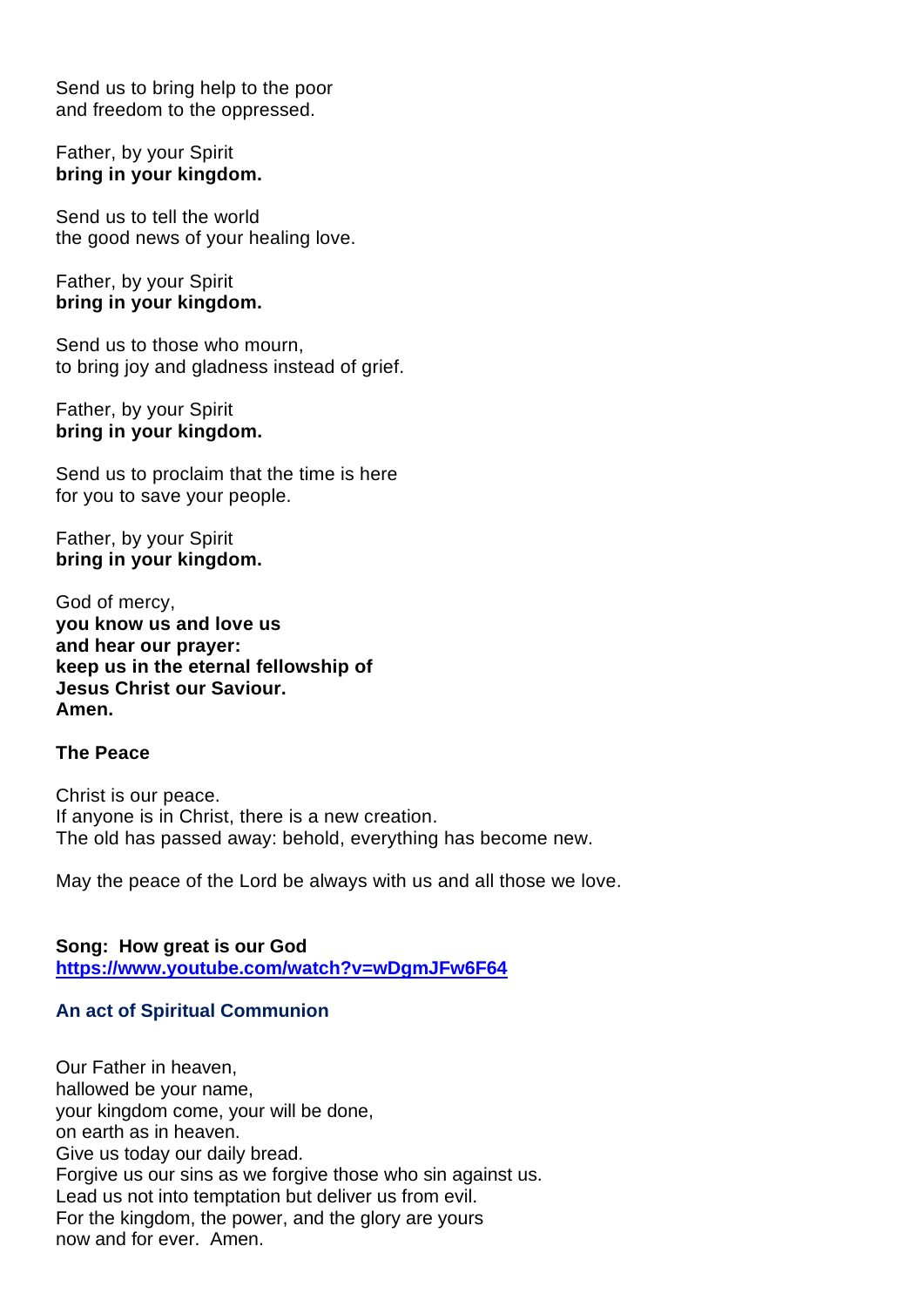Send us to bring help to the poor and freedom to the oppressed.

#### Father, by your Spirit **bring in your kingdom.**

Send us to tell the world the good news of your healing love.

Father, by your Spirit **bring in your kingdom.**

Send us to those who mourn, to bring joy and gladness instead of grief.

Father, by your Spirit **bring in your kingdom.**

Send us to proclaim that the time is here for you to save your people.

Father, by your Spirit **bring in your kingdom.**

God of mercy, **you know us and love us and hear our prayer: keep us in the eternal fellowship of Jesus Christ our Saviour. Amen.**

#### **The Peace**

Christ is our peace. If anyone is in Christ, there is a new creation. The old has passed away: behold, everything has become new.

May the peace of the Lord be always with us and all those we love.

**Song: How great is our God https://www.youtube.com/watch?v=wDgmJFw6F64**

### **An act of Spiritual Communion**

Our Father in heaven, hallowed be your name, your kingdom come, your will be done, on earth as in heaven. Give us today our daily bread. Forgive us our sins as we forgive those who sin against us. Lead us not into temptation but deliver us from evil. For the kingdom, the power, and the glory are yours now and for ever. Amen.